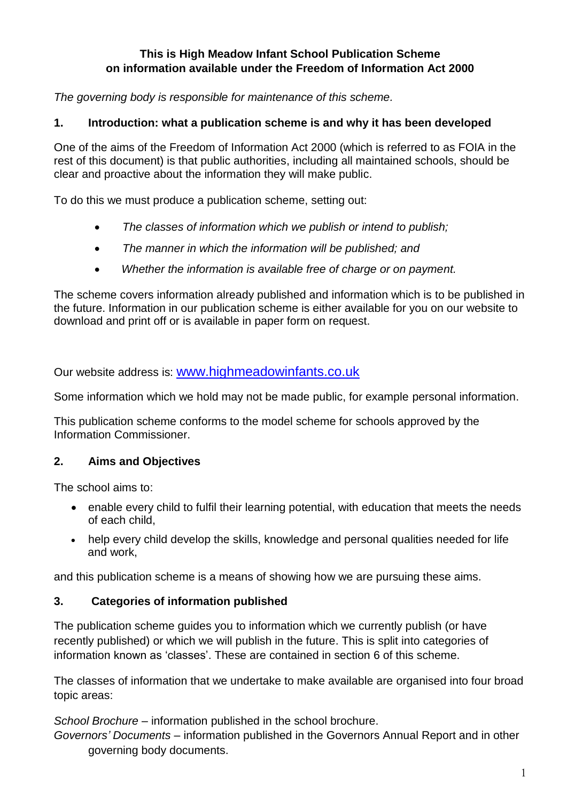#### **This is High Meadow Infant School Publication Scheme on information available under the Freedom of Information Act 2000**

*The governing body is responsible for maintenance of this scheme.*

## **1. Introduction: what a publication scheme is and why it has been developed**

One of the aims of the Freedom of Information Act 2000 (which is referred to as FOIA in the rest of this document) is that public authorities, including all maintained schools, should be clear and proactive about the information they will make public.

To do this we must produce a publication scheme, setting out:

- *The classes of information which we publish or intend to publish;*
- *The manner in which the information will be published; and*
- *Whether the information is available free of charge or on payment.*

The scheme covers information already published and information which is to be published in the future. Information in our publication scheme is either available for you on our website to download and print off or is available in paper form on request.

Our website address is: [www.highmeadowinfants.co.uk](http://www.highmeadowinfants.co.uk/)

Some information which we hold may not be made public, for example personal information.

This publication scheme conforms to the model scheme for schools approved by the Information Commissioner.

### **2. Aims and Objectives**

The school aims to:

- enable every child to fulfil their learning potential, with education that meets the needs of each child,
- help every child develop the skills, knowledge and personal qualities needed for life and work,

and this publication scheme is a means of showing how we are pursuing these aims.

### **3. Categories of information published**

The publication scheme guides you to information which we currently publish (or have recently published) or which we will publish in the future. This is split into categories of information known as 'classes'. These are contained in section 6 of this scheme.

The classes of information that we undertake to make available are organised into four broad topic areas:

*School Brochure* – information published in the school brochure.

*Governors' Documents* – information published in the Governors Annual Report and in other governing body documents.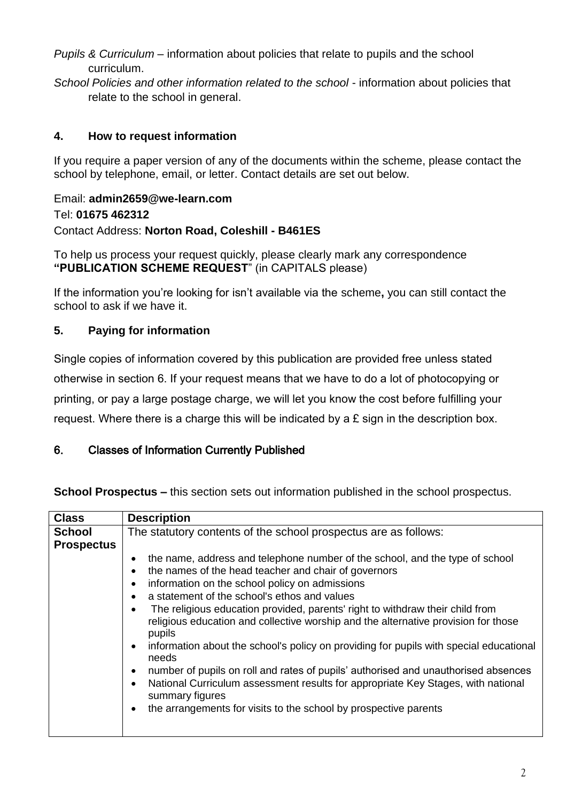- *Pupils & Curriculum* information about policies that relate to pupils and the school curriculum.
- *School Policies and other information related to the school* information about policies that relate to the school in general.

# **4. How to request information**

If you require a paper version of any of the documents within the scheme, please contact the school by telephone, email, or letter. Contact details are set out below.

#### Email: **admin2659@we-learn.com** Tel: **01675 462312** Contact Address: **Norton Road, Coleshill - B461ES**

To help us process your request quickly, please clearly mark any correspondence **"PUBLICATION SCHEME REQUEST**" (in CAPITALS please)

If the information you're looking for isn't available via the scheme**,** you can still contact the school to ask if we have it.

# **5. Paying for information**

Single copies of information covered by this publication are provided free unless stated otherwise in section 6. If your request means that we have to do a lot of photocopying or printing, or pay a large postage charge, we will let you know the cost before fulfilling your request. Where there is a charge this will be indicated by a £ sign in the description box.

### 6. Classes of Information Currently Published

**School Prospectus –** this section sets out information published in the school prospectus.

| <b>Class</b>                       | <b>Description</b>                                                                                                                                                                                                                                                                                                                                                                                                                                                                                                                                                                                                                                                                                                                                                                                                                                                                                               |
|------------------------------------|------------------------------------------------------------------------------------------------------------------------------------------------------------------------------------------------------------------------------------------------------------------------------------------------------------------------------------------------------------------------------------------------------------------------------------------------------------------------------------------------------------------------------------------------------------------------------------------------------------------------------------------------------------------------------------------------------------------------------------------------------------------------------------------------------------------------------------------------------------------------------------------------------------------|
| <b>School</b><br><b>Prospectus</b> | The statutory contents of the school prospectus are as follows:                                                                                                                                                                                                                                                                                                                                                                                                                                                                                                                                                                                                                                                                                                                                                                                                                                                  |
|                                    | the name, address and telephone number of the school, and the type of school<br>$\bullet$<br>the names of the head teacher and chair of governors<br>$\bullet$<br>information on the school policy on admissions<br>$\bullet$<br>a statement of the school's ethos and values<br>$\bullet$<br>The religious education provided, parents' right to withdraw their child from<br>$\bullet$<br>religious education and collective worship and the alternative provision for those<br>pupils<br>information about the school's policy on providing for pupils with special educational<br>$\bullet$<br>needs<br>number of pupils on roll and rates of pupils' authorised and unauthorised absences<br>$\bullet$<br>National Curriculum assessment results for appropriate Key Stages, with national<br>$\bullet$<br>summary figures<br>the arrangements for visits to the school by prospective parents<br>$\bullet$ |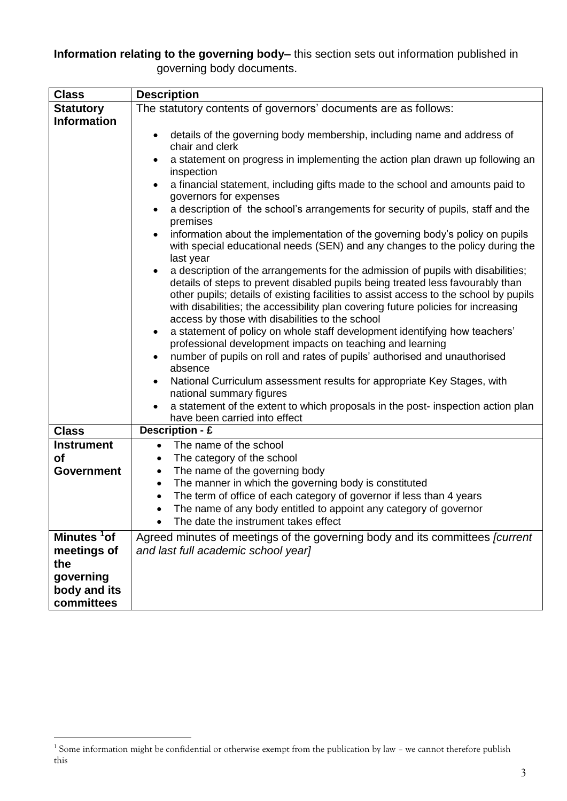**Information relating to the governing body–** this section sets out information published in governing body documents.

| <b>Class</b>                           | <b>Description</b>                                                                                                                                                                                                                                                                                                                                                                                  |
|----------------------------------------|-----------------------------------------------------------------------------------------------------------------------------------------------------------------------------------------------------------------------------------------------------------------------------------------------------------------------------------------------------------------------------------------------------|
| <b>Statutory</b>                       | The statutory contents of governors' documents are as follows:                                                                                                                                                                                                                                                                                                                                      |
| <b>Information</b>                     |                                                                                                                                                                                                                                                                                                                                                                                                     |
|                                        | details of the governing body membership, including name and address of<br>chair and clerk                                                                                                                                                                                                                                                                                                          |
|                                        | a statement on progress in implementing the action plan drawn up following an<br>inspection<br>a financial statement, including gifts made to the school and amounts paid to<br>$\bullet$<br>governors for expenses                                                                                                                                                                                 |
|                                        | a description of the school's arrangements for security of pupils, staff and the<br>premises                                                                                                                                                                                                                                                                                                        |
|                                        | information about the implementation of the governing body's policy on pupils<br>with special educational needs (SEN) and any changes to the policy during the<br>last year                                                                                                                                                                                                                         |
|                                        | a description of the arrangements for the admission of pupils with disabilities;<br>details of steps to prevent disabled pupils being treated less favourably than<br>other pupils; details of existing facilities to assist access to the school by pupils<br>with disabilities; the accessibility plan covering future policies for increasing<br>access by those with disabilities to the school |
|                                        | a statement of policy on whole staff development identifying how teachers'<br>$\bullet$                                                                                                                                                                                                                                                                                                             |
|                                        | professional development impacts on teaching and learning<br>number of pupils on roll and rates of pupils' authorised and unauthorised                                                                                                                                                                                                                                                              |
|                                        | absence                                                                                                                                                                                                                                                                                                                                                                                             |
|                                        | National Curriculum assessment results for appropriate Key Stages, with<br>$\bullet$                                                                                                                                                                                                                                                                                                                |
|                                        | national summary figures<br>a statement of the extent to which proposals in the post- inspection action plan                                                                                                                                                                                                                                                                                        |
|                                        | have been carried into effect                                                                                                                                                                                                                                                                                                                                                                       |
| <b>Class</b>                           | Description - £                                                                                                                                                                                                                                                                                                                                                                                     |
| <b>Instrument</b>                      | The name of the school<br>$\bullet$                                                                                                                                                                                                                                                                                                                                                                 |
| οf                                     | The category of the school<br>٠                                                                                                                                                                                                                                                                                                                                                                     |
| <b>Government</b>                      | The name of the governing body<br>٠                                                                                                                                                                                                                                                                                                                                                                 |
|                                        | The manner in which the governing body is constituted<br>$\bullet$                                                                                                                                                                                                                                                                                                                                  |
|                                        | The term of office of each category of governor if less than 4 years<br>The name of any body entitled to appoint any category of governor                                                                                                                                                                                                                                                           |
|                                        | The date the instrument takes effect                                                                                                                                                                                                                                                                                                                                                                |
| Minutes <sup>1</sup> of<br>meetings of | Agreed minutes of meetings of the governing body and its committees [current<br>and last full academic school year]                                                                                                                                                                                                                                                                                 |
| the                                    |                                                                                                                                                                                                                                                                                                                                                                                                     |
| governing                              |                                                                                                                                                                                                                                                                                                                                                                                                     |
| body and its                           |                                                                                                                                                                                                                                                                                                                                                                                                     |
| committees                             |                                                                                                                                                                                                                                                                                                                                                                                                     |

<u>.</u>

<sup>&</sup>lt;sup>1</sup> Some information might be confidential or otherwise exempt from the publication by law - we cannot therefore publish this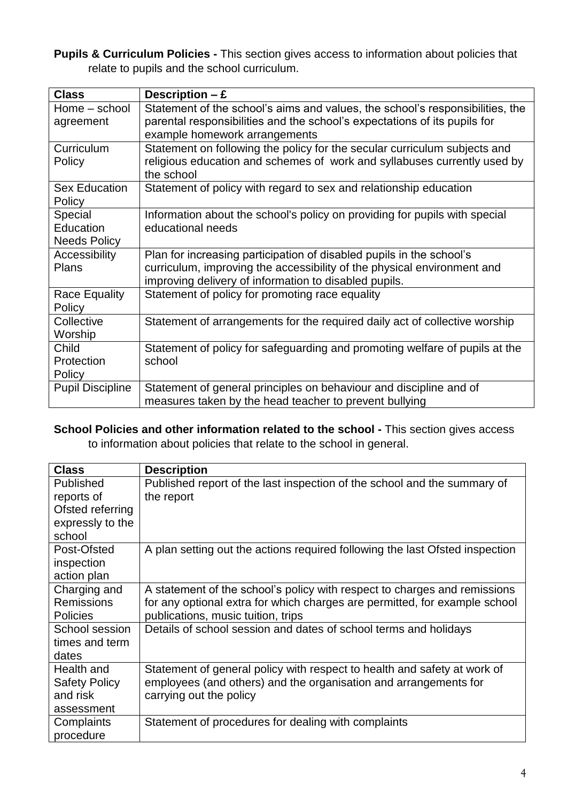**Pupils & Curriculum Policies -** This section gives access to information about policies that relate to pupils and the school curriculum.

| <b>Class</b>            | Description $-E$                                                              |
|-------------------------|-------------------------------------------------------------------------------|
| Home - school           | Statement of the school's aims and values, the school's responsibilities, the |
| agreement               | parental responsibilities and the school's expectations of its pupils for     |
|                         | example homework arrangements                                                 |
| Curriculum              | Statement on following the policy for the secular curriculum subjects and     |
| Policy                  | religious education and schemes of work and syllabuses currently used by      |
|                         | the school                                                                    |
| <b>Sex Education</b>    | Statement of policy with regard to sex and relationship education             |
| Policy                  |                                                                               |
| Special                 | Information about the school's policy on providing for pupils with special    |
| Education               | educational needs                                                             |
| <b>Needs Policy</b>     |                                                                               |
| Accessibility           | Plan for increasing participation of disabled pupils in the school's          |
| <b>Plans</b>            | curriculum, improving the accessibility of the physical environment and       |
|                         | improving delivery of information to disabled pupils.                         |
| <b>Race Equality</b>    | Statement of policy for promoting race equality                               |
| Policy                  |                                                                               |
| Collective              | Statement of arrangements for the required daily act of collective worship    |
| Worship                 |                                                                               |
| Child                   | Statement of policy for safeguarding and promoting welfare of pupils at the   |
| Protection              | school                                                                        |
| Policy                  |                                                                               |
| <b>Pupil Discipline</b> | Statement of general principles on behaviour and discipline and of            |
|                         | measures taken by the head teacher to prevent bullying                        |

**School Policies and other information related to the school -** This section gives access to information about policies that relate to the school in general.

| <b>Class</b>         | <b>Description</b>                                                           |
|----------------------|------------------------------------------------------------------------------|
| Published            | Published report of the last inspection of the school and the summary of     |
| reports of           | the report                                                                   |
| Ofsted referring     |                                                                              |
| expressly to the     |                                                                              |
| school               |                                                                              |
| Post-Ofsted          | A plan setting out the actions required following the last Ofsted inspection |
| inspection           |                                                                              |
| action plan          |                                                                              |
| Charging and         | A statement of the school's policy with respect to charges and remissions    |
| <b>Remissions</b>    | for any optional extra for which charges are permitted, for example school   |
| <b>Policies</b>      | publications, music tuition, trips                                           |
| School session       | Details of school session and dates of school terms and holidays             |
| times and term       |                                                                              |
| dates                |                                                                              |
| Health and           | Statement of general policy with respect to health and safety at work of     |
| <b>Safety Policy</b> | employees (and others) and the organisation and arrangements for             |
| and risk             | carrying out the policy                                                      |
| assessment           |                                                                              |
| Complaints           | Statement of procedures for dealing with complaints                          |
| procedure            |                                                                              |